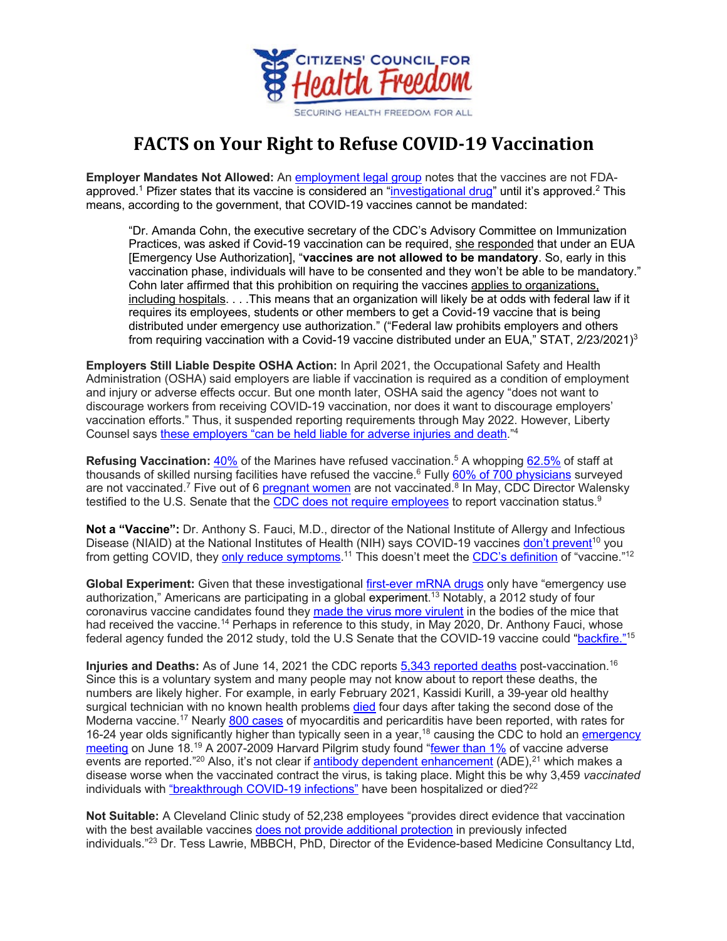

## **FACTS on Your Right to Refuse COVID-19 Vaccination**

**Employer Mandates Not Allowed:** An employment legal group notes that the vaccines are not FDAapproved.<sup>1</sup> Pfizer states that its vaccine is considered an "<u>investigational drug</u>" until it's approved.<sup>2</sup> This means, according to the government, that COVID-19 vaccines cannot be mandated:

"Dr. Amanda Cohn, the executive secretary of the CDC's Advisory Committee on Immunization Practices, was asked if Covid-19 vaccination can be required, she responded that under an EUA [Emergency Use Authorization], "**vaccines are not allowed to be mandatory**. So, early in this vaccination phase, individuals will have to be consented and they won't be able to be mandatory." Cohn later affirmed that this prohibition on requiring the vaccines applies to organizations, including hospitals. . . .This means that an organization will likely be at odds with federal law if it requires its employees, students or other members to get a Covid-19 vaccine that is being distributed under emergency use authorization." ("Federal law prohibits employers and others from requiring vaccination with a Covid-19 vaccine distributed under an EUA," STAT,  $2/23/2021$ <sup>3</sup>

**Employers Still Liable Despite OSHA Action:** In April 2021, the Occupational Safety and Health Administration (OSHA) said employers are liable if vaccination is required as a condition of employment and injury or adverse effects occur. But one month later, OSHA said the agency "does not want to discourage workers from receiving COVID-19 vaccination, nor does it want to discourage employers' vaccination efforts." Thus, it suspended reporting requirements through May 2022. However, Liberty Counsel says these employers "can be held liable for adverse injuries and death."4

**Refusing Vaccination:** 40% of the Marines have refused vaccination.5 A whopping 62.5% of staff at thousands of skilled nursing facilities have refused the vaccine.<sup>6</sup> Fully 60% of 700 physicians surveyed are not vaccinated.<sup>7</sup> Five out of 6 pregnant women are not vaccinated.<sup>8</sup> In May, CDC Director Walensky testified to the U.S. Senate that the CDC does not require employees to report vaccination status.<sup>9</sup>

**Not a "Vaccine":** Dr. Anthony S. Fauci, M.D., director of the National Institute of Allergy and Infectious Disease (NIAID) at the National Institutes of Health (NIH) says COVID-19 vaccines don't prevent<sup>10</sup> you from getting COVID, they <u>only reduce symptoms</u>.<sup>11</sup> This doesn't meet the <u>CDC's definition</u> of "vaccine."<sup>12</sup>

**Global Experiment:** Given that these investigational first-ever mRNA drugs only have "emergency use authorization," Americans are participating in a global experiment. <sup>13</sup> Notably, a 2012 study of four coronavirus vaccine candidates found they made the virus more virulent in the bodies of the mice that had received the vaccine.<sup>14</sup> Perhaps in reference to this study, in May 2020, Dr. Anthony Fauci, whose federal agency funded the 2012 study, told the U.S Senate that the COVID-19 vaccine could "backfire."15

**Injuries and Deaths:** As of June 14, 2021 the CDC reports 5,343 reported deaths post-vaccination.16 Since this is a voluntary system and many people may not know about to report these deaths, the numbers are likely higher. For example, in early February 2021, Kassidi Kurill, a 39-year old healthy surgical technician with no known health problems died four days after taking the second dose of the Moderna vaccine.<sup>17</sup> Nearly 800 cases of myocarditis and pericarditis have been reported, with rates for 16-24 year olds significantly higher than typically seen in a year,<sup>18</sup> causing the CDC to hold an *emergency* meeting on June 18.<sup>19</sup> A 2007-2009 Harvard Pilgrim study found "fewer than 1% of vaccine adverse events are reported."<sup>20</sup> Also, it's not clear if antibody dependent enhancement (ADE),<sup>21</sup> which makes a disease worse when the vaccinated contract the virus, is taking place. Might this be why 3,459 *vaccinated* individuals with "breakthrough COVID-19 infections" have been hospitalized or died? $2^2$ 

**Not Suitable:** A Cleveland Clinic study of 52,238 employees "provides direct evidence that vaccination with the best available vaccines does not provide additional protection in previously infected individuals."23 Dr. Tess Lawrie, MBBCH, PhD, Director of the Evidence-based Medicine Consultancy Ltd,